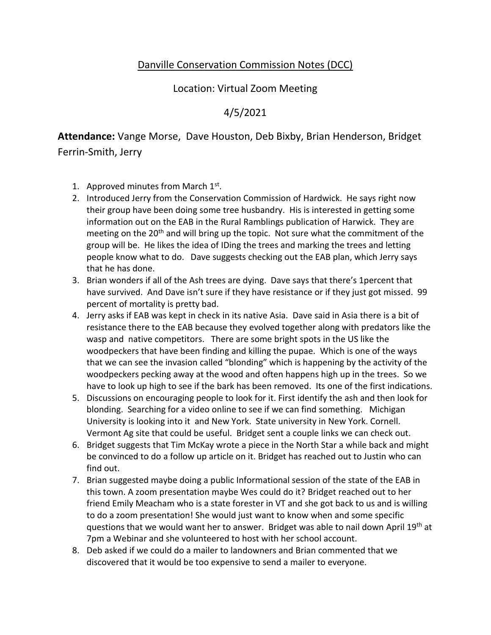## Danville Conservation Commission Notes (DCC)

## Location: Virtual Zoom Meeting

## 4/5/2021

**Attendance:** Vange Morse, Dave Houston, Deb Bixby, Brian Henderson, Bridget

Ferrin-Smith, Jerry

- 1. Approved minutes from March 1st.
- 2. Introduced Jerry from the Conservation Commission of Hardwick. He says right now their group have been doing some tree husbandry. His is interested in getting some information out on the EAB in the Rural Ramblings publication of Harwick. They are meeting on the  $20<sup>th</sup>$  and will bring up the topic. Not sure what the commitment of the group will be. He likes the idea of IDing the trees and marking the trees and letting people know what to do. Dave suggests checking out the EAB plan, which Jerry says that he has done.
- 3. Brian wonders if all of the Ash trees are dying. Dave says that there's 1percent that have survived. And Dave isn't sure if they have resistance or if they just got missed. 99 percent of mortality is pretty bad.
- 4. Jerry asks if EAB was kept in check in its native Asia. Dave said in Asia there is a bit of resistance there to the EAB because they evolved together along with predators like the wasp and native competitors. There are some bright spots in the US like the woodpeckers that have been finding and killing the pupae. Which is one of the ways that we can see the invasion called "blonding" which is happening by the activity of the woodpeckers pecking away at the wood and often happens high up in the trees. So we have to look up high to see if the bark has been removed. Its one of the first indications.
- 5. Discussions on encouraging people to look for it. First identify the ash and then look for blonding. Searching for a video online to see if we can find something. Michigan University is looking into it and New York. State university in New York. Cornell. Vermont Ag site that could be useful. Bridget sent a couple links we can check out.
- 6. Bridget suggests that Tim McKay wrote a piece in the North Star a while back and might be convinced to do a follow up article on it. Bridget has reached out to Justin who can find out.
- 7. Brian suggested maybe doing a public Informational session of the state of the EAB in this town. A zoom presentation maybe Wes could do it? Bridget reached out to her friend Emily Meacham who is a state forester in VT and she got back to us and is willing to do a zoom presentation! She would just want to know when and some specific questions that we would want her to answer. Bridget was able to nail down April 19th at 7pm a Webinar and she volunteered to host with her school account.
- 8. Deb asked if we could do a mailer to landowners and Brian commented that we discovered that it would be too expensive to send a mailer to everyone.